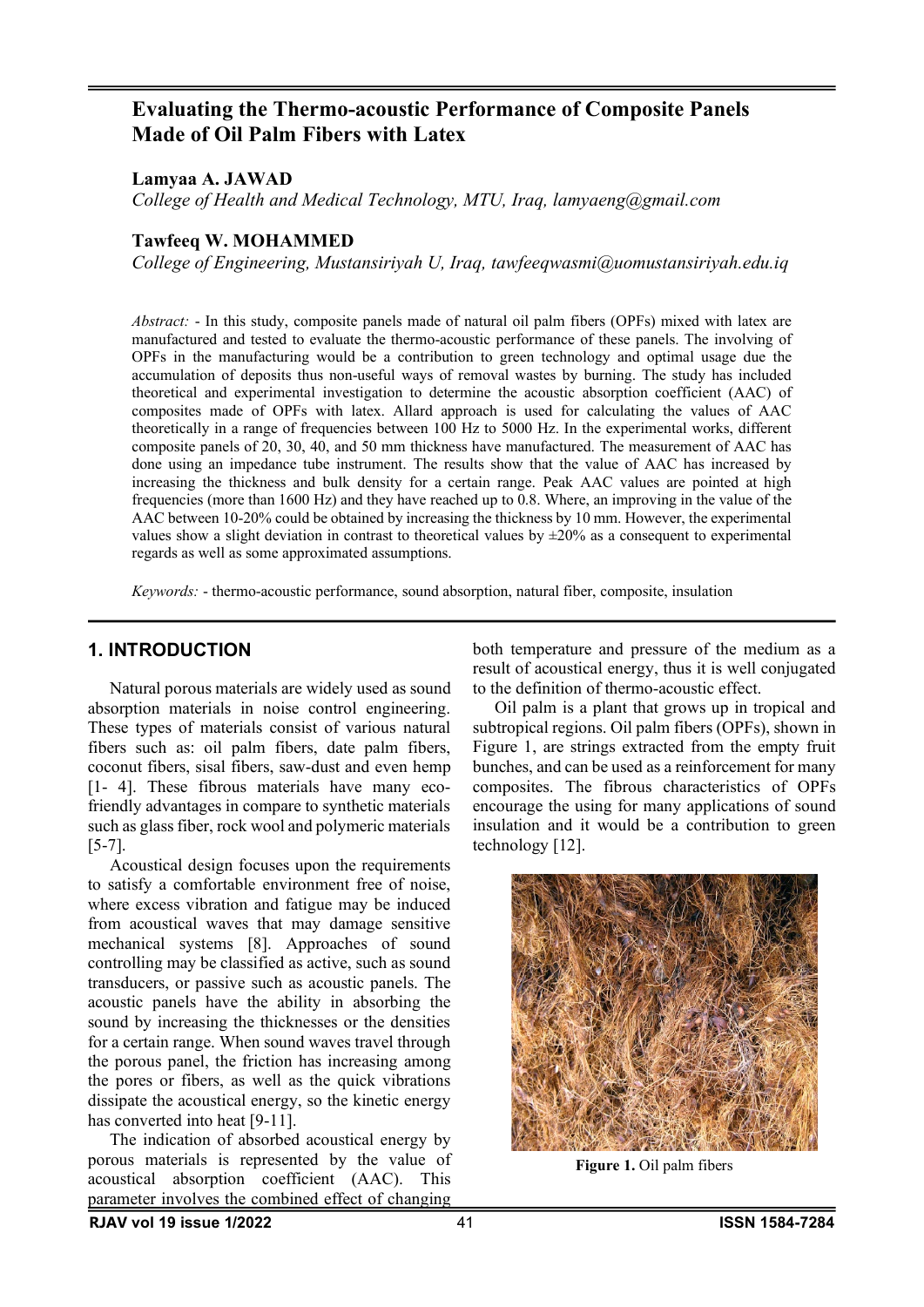# **Evaluating the Thermo-acoustic Performance of Composite Panels Made of Oil Palm Fibers with Latex**

**Lamyaa A. JAWAD**

*College of Health and Medical Technology, MTU, Iraq, lamyaeng@gmail.com*

## **Tawfeeq W. MOHAMMED**

*College of Engineering, Mustansiriyah U, Iraq, tawfeeqwasmi@uomustansiriyah.edu.iq*

*Abstract:* - In this study, composite panels made of natural oil palm fibers (OPFs) mixed with latex are manufactured and tested to evaluate the thermo-acoustic performance of these panels. The involving of OPFs in the manufacturing would be a contribution to green technology and optimal usage due the accumulation of deposits thus non-useful ways of removal wastes by burning. The study has included theoretical and experimental investigation to determine the acoustic absorption coefficient (AAC) of composites made of OPFs with latex. Allard approach is used for calculating the values of AAC theoretically in a range of frequencies between 100 Hz to 5000 Hz. In the experimental works, different composite panels of 20, 30, 40, and 50 mm thickness have manufactured. The measurement of AAC has done using an impedance tube instrument. The results show that the value of AAC has increased by increasing the thickness and bulk density for a certain range. Peak AAC values are pointed at high frequencies (more than 1600 Hz) and they have reached up to 0.8. Where, an improving in the value of the AAC between 10-20% could be obtained by increasing the thickness by 10 mm. However, the experimental values show a slight deviation in contrast to theoretical values by  $\pm 20\%$  as a consequent to experimental regards as well as some approximated assumptions.

*Keywords:* - thermo-acoustic performance, sound absorption, natural fiber, composite, insulation

### **1. INTRODUCTION**

Natural porous materials are widely used as sound absorption materials in noise control engineering. These types of materials consist of various natural fibers such as: oil palm fibers, date palm fibers, coconut fibers, sisal fibers, saw-dust and even hemp [1- 4]. These fibrous materials have many ecofriendly advantages in compare to synthetic materials such as glass fiber, rock wool and polymeric materials [5-7].

Acoustical design focuses upon the requirements to satisfy a comfortable environment free of noise, where excess vibration and fatigue may be induced from acoustical waves that may damage sensitive mechanical systems [8]. Approaches of sound controlling may be classified as active, such as sound transducers, or passive such as acoustic panels. The acoustic panels have the ability in absorbing the sound by increasing the thicknesses or the densities for a certain range. When sound waves travel through the porous panel, the friction has increasing among the pores or fibers, as well as the quick vibrations dissipate the acoustical energy, so the kinetic energy has converted into heat [9-11].

The indication of absorbed acoustical energy by porous materials is represented by the value of acoustical absorption coefficient (AAC). This parameter involves the combined effect of changing

both temperature and pressure of the medium as a result of acoustical energy, thus it is well conjugated to the definition of thermo-acoustic effect.

Oil palm is a plant that grows up in tropical and subtropical regions. Oil palm fibers (OPFs), shown in Figure 1, are strings extracted from the empty fruit bunches, and can be used as a reinforcement for many composites. The fibrous characteristics of OPFs encourage the using for many applications of sound insulation and it would be a contribution to green technology [12].



**Figure 1.** Oil palm fibers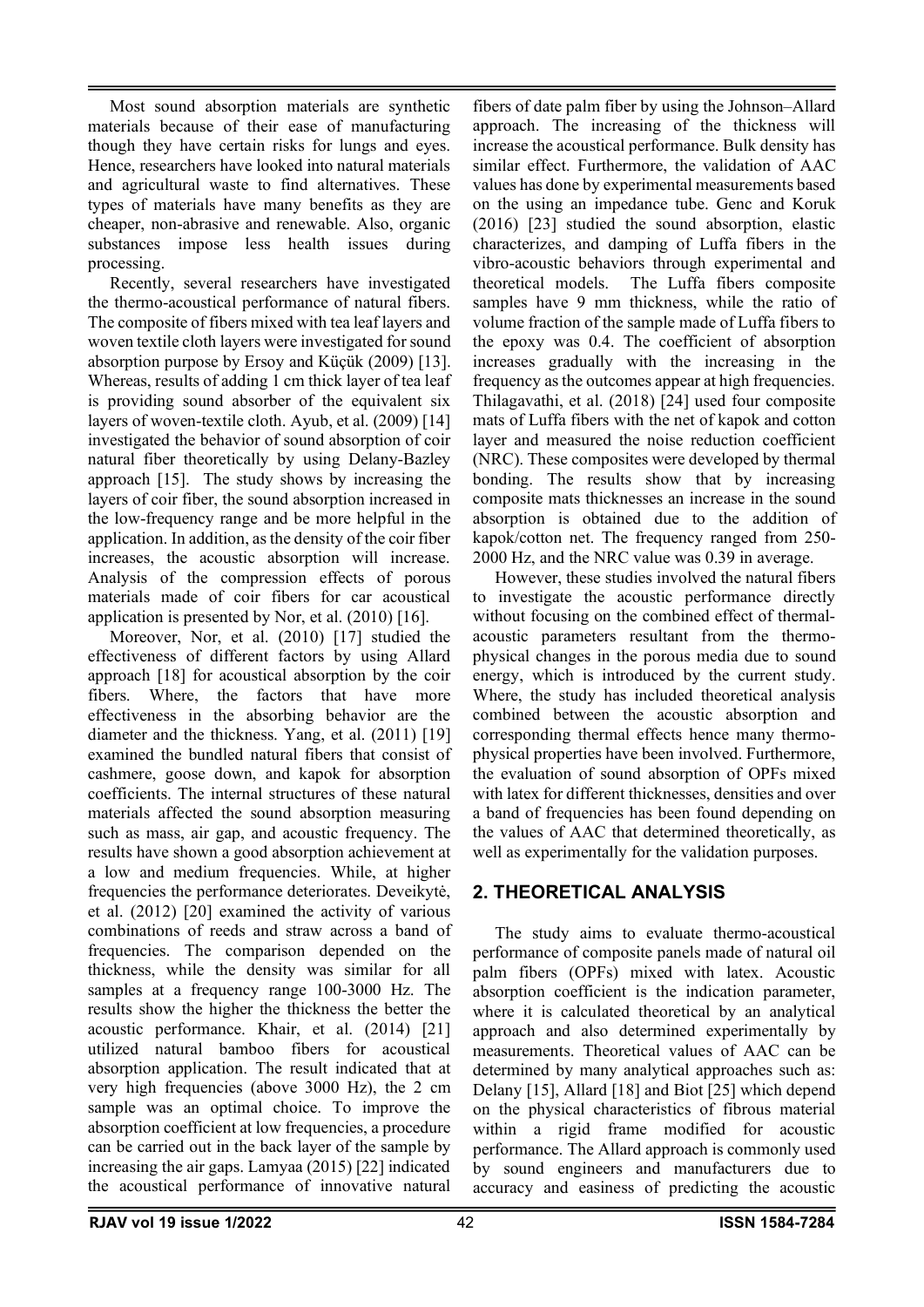Most sound absorption materials are synthetic materials because of their ease of manufacturing though they have certain risks for lungs and eyes. Hence, researchers have looked into natural materials and agricultural waste to find alternatives. These types of materials have many benefits as they are cheaper, non-abrasive and renewable. Also, organic substances impose less health issues during processing.

Recently, several researchers have investigated the thermo-acoustical performance of natural fibers. The composite of fibers mixed with tea leaf layers and woven textile cloth layers were investigated forsound absorption purpose by Ersoy and Küçük (2009) [13]. Whereas, results of adding 1 cm thick layer of tea leaf is providing sound absorber of the equivalent six layers of woven-textile cloth. Ayub, et al. (2009) [14] investigated the behavior of sound absorption of coir natural fiber theoretically by using Delany-Bazley approach [15]. The study shows by increasing the layers of coir fiber, the sound absorption increased in the low-frequency range and be more helpful in the application. In addition, as the density of the coir fiber increases, the acoustic absorption will increase. Analysis of the compression effects of porous materials made of coir fibers for car acoustical application is presented by Nor, et al. (2010) [16].

Moreover, Nor, et al. (2010) [17] studied the effectiveness of different factors by using Allard approach [18] for acoustical absorption by the coir fibers. Where, the factors that have more effectiveness in the absorbing behavior are the diameter and the thickness. Yang, et al. (2011) [19] examined the bundled natural fibers that consist of cashmere, goose down, and kapok for absorption coefficients. The internal structures of these natural materials affected the sound absorption measuring such as mass, air gap, and acoustic frequency. The results have shown a good absorption achievement at a low and medium frequencies. While, at higher frequencies the performance deteriorates. Deveikytė, et al. (2012) [20] examined the activity of various combinations of reeds and straw across a band of frequencies. The comparison depended on the thickness, while the density was similar for all samples at a frequency range 100-3000 Hz. The results show the higher the thickness the better the acoustic performance. Khair, et al. (2014) [21] utilized natural bamboo fibers for acoustical absorption application. The result indicated that at very high frequencies (above 3000 Hz), the 2 cm sample was an optimal choice. To improve the absorption coefficient at low frequencies, a procedure can be carried out in the back layer of the sample by increasing the air gaps. Lamyaa (2015) [22] indicated the acoustical performance of innovative natural

fibers of date palm fiber by using the Johnson–Allard approach. The increasing of the thickness will increase the acoustical performance. Bulk density has similar effect. Furthermore, the validation of AAC values has done by experimental measurements based on the using an impedance tube. Genc and Koruk (2016) [23] studied the sound absorption, elastic characterizes, and damping of Luffa fibers in the vibro-acoustic behaviors through experimental and theoretical models. The Luffa fibers composite samples have 9 mm thickness, while the ratio of volume fraction of the sample made of Luffa fibers to the epoxy was 0.4. The coefficient of absorption increases gradually with the increasing in the frequency as the outcomes appear at high frequencies. Thilagavathi, et al. (2018) [24] used four composite mats of Luffa fibers with the net of kapok and cotton layer and measured the noise reduction coefficient (NRC). These composites were developed by thermal bonding. The results show that by increasing composite mats thicknesses an increase in the sound absorption is obtained due to the addition of kapok/cotton net. The frequency ranged from 250- 2000 Hz, and the NRC value was 0.39 in average.

However, these studies involved the natural fibers to investigate the acoustic performance directly without focusing on the combined effect of thermalacoustic parameters resultant from the thermophysical changes in the porous media due to sound energy, which is introduced by the current study. Where, the study has included theoretical analysis combined between the acoustic absorption and corresponding thermal effects hence many thermophysical properties have been involved. Furthermore, the evaluation of sound absorption of OPFs mixed with latex for different thicknesses, densities and over a band of frequencies has been found depending on the values of AAC that determined theoretically, as well as experimentally for the validation purposes.

# **2. THEORETICAL ANALYSIS**

The study aims to evaluate thermo-acoustical performance of composite panels made of natural oil palm fibers (OPFs) mixed with latex. Acoustic absorption coefficient is the indication parameter, where it is calculated theoretical by an analytical approach and also determined experimentally by measurements. Theoretical values of AAC can be determined by many analytical approaches such as: Delany [15], Allard [18] and Biot [25] which depend on the physical characteristics of fibrous material within a rigid frame modified for acoustic performance. The Allard approach is commonly used by sound engineers and manufacturers due to accuracy and easiness of predicting the acoustic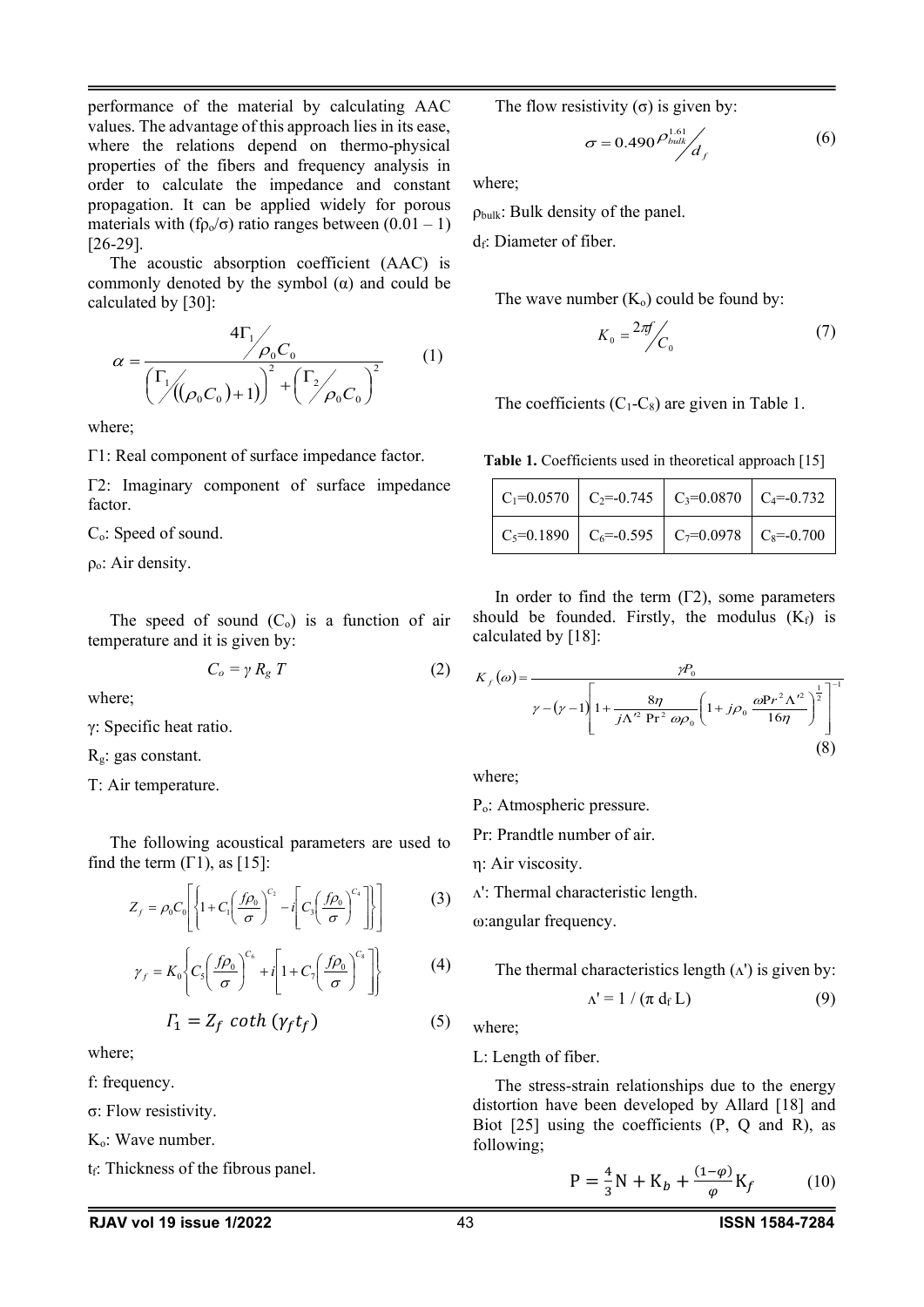performance of the material by calculating AAC values. The advantage of this approach lies in its ease, where the relations depend on thermo-physical properties of the fibers and frequency analysis in order to calculate the impedance and constant propagation. It can be applied widely for porous materials with (f $p_0/\sigma$ ) ratio ranges between (0.01 – 1) [26-29].

The acoustic absorption coefficient (AAC) is commonly denoted by the symbol  $(\alpha)$  and could be calculated by [30]:

$$
\alpha = \frac{4\Gamma_1}{\left(\frac{\Gamma_1}{\sqrt{(\rho_0 C_0)} + 1)}\right)^2 + \left(\frac{\Gamma_2}{\rho_0 C_0}\right)^2}
$$
(1)

where;

Γ1: Real component of surface impedance factor.

Γ2: Imaginary component of surface impedance factor.

C<sub>o</sub>: Speed of sound.

 $\rho_{0}$ : Air density.

The speed of sound  $(C_0)$  is a function of air temperature and it is given by:

$$
C_o = \gamma R_g T \tag{2}
$$

where;

γ: Specific heat ratio.

Rg: gas constant.

T: Air temperature.

The following acoustical parameters are used to find the term  $(\Gamma 1)$ , as  $[15]$ :

$$
Z_f = \rho_0 C_0 \left[ \left\{ 1 + C_1 \left( \frac{f \rho_0}{\sigma} \right)^{C_2} - i \left[ C_3 \left( \frac{f \rho_0}{\sigma} \right)^{C_4} \right] \right\} \right] \tag{3}
$$

$$
\gamma_f = K_0 \left\{ C_s \left( \frac{f \rho_0}{\sigma} \right)^{C_6} + i \left[ 1 + C_7 \left( \frac{f \rho_0}{\sigma} \right)^{C_8} \right] \right\}
$$
(4)

$$
\Gamma_1 = Z_f \coth\left(\gamma_f t_f\right) \tag{5}
$$

where;

- f: frequency.
- σ: Flow resistivity.

 $K<sub>o</sub>$ : Wave number.

 $t_f$ : Thickness of the fibrous panel.

The flow resistivity  $(\sigma)$  is given by:

$$
\sigma = 0.490 \frac{\rho_{bulk}^{1.61}}{d_f} \tag{6}
$$

where;

 $\rho_{bulk}$ : Bulk density of the panel.

 $d\epsilon$ : Diameter of fiber.

The wave number  $(K_0)$  could be found by:

$$
K_0 = \frac{2\pi f}{C_0} \tag{7}
$$

The coefficients  $(C_1-C_8)$  are given in Table 1.

**Table 1.** Coefficients used in theoretical approach [15]

|  | $\vert$ C <sub>1</sub> =0.0570 $\vert$ C <sub>2</sub> =-0.745 $\vert$ C <sub>3</sub> =0.0870 $\vert$ C <sub>4</sub> =-0.732 $\vert$ |  |
|--|-------------------------------------------------------------------------------------------------------------------------------------|--|
|  | $\vert$ C <sub>5</sub> =0.1890 $\vert$ C <sub>6</sub> =-0.595 $\vert$ C <sub>7</sub> =0.0978 $\vert$ C <sub>8</sub> =-0.700         |  |

In order to find the term (Γ2), some parameters should be founded. Firstly, the modulus  $(K_f)$  is calculated by [18]:

$$
K_{f}(\omega) = \frac{\gamma P_{0}}{\gamma - (\gamma - 1) \left[1 + \frac{8\eta}{j\Lambda'^{2} \Pr^{2} \omega \rho_{0}} \left(1 + j\rho_{0} \frac{\omega \Pr^{2} \Lambda'^{2}}{16\eta}\right)^{\frac{1}{2}}\right]^{-1}}
$$
\n(8)

where;

Po: Atmospheric pressure.

Pr: Prandtle number of air.

η: Air viscosity.

ᴧ': Thermal characteristic length.

ω:angular frequency.

The thermal characteristics length (A') is given by:  
\n
$$
\Delta' = 1 / (\pi d_f L)
$$
\n(9)

where;

L: Length of fiber.

The stress-strain relationships due to the energy distortion have been developed by Allard [18] and Biot [25] using the coefficients (P, Q and R), as following;

$$
P = \frac{4}{3}N + K_b + \frac{(1-\varphi)}{\varphi}K_f
$$
 (10)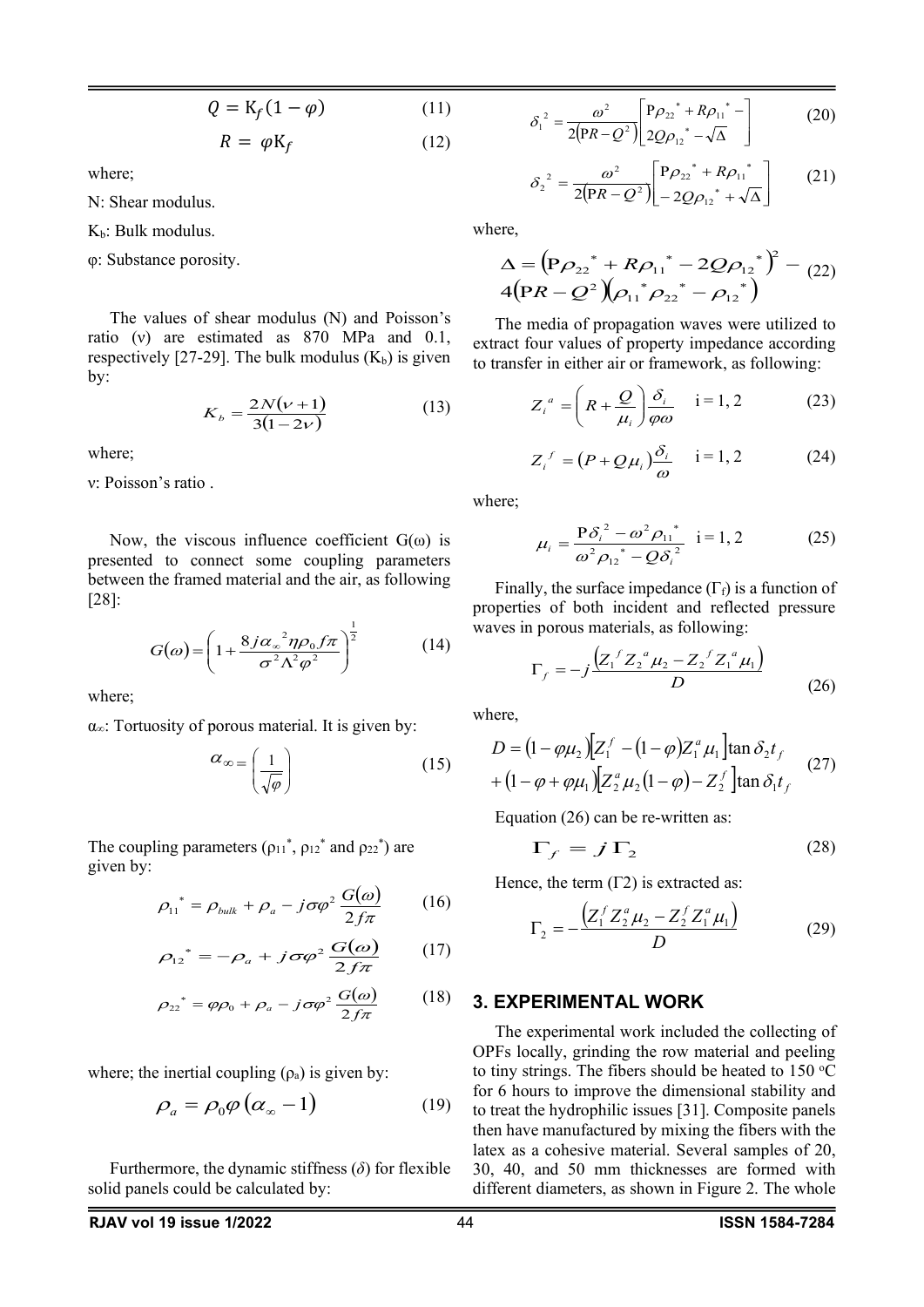$$
Q = \mathrm{K}_f (1 - \varphi) \tag{11}
$$

$$
R = \varphi K_f \tag{12}
$$

where;

N: Shear modulus.

 $K_b$ : Bulk modulus.

φ: Substance porosity.

The values of shear modulus (N) and Poisson's ratio (ν) are estimated as 870 MPa and 0.1, respectively [27-29]. The bulk modulus  $(K_b)$  is given by:

$$
K_b = \frac{2N(\nu + 1)}{3(1 - 2\nu)}\tag{13}
$$

where;

ν: Poisson's ratio .

Now, the viscous influence coefficient  $G(\omega)$  is presented to connect some coupling parameters between the framed material and the air, as following [28]:

$$
G(\omega) = \left(1 + \frac{8j\alpha_{\infty}^2 \eta \rho_0 f \pi}{\sigma^2 \Lambda^2 \varphi^2}\right)^{\frac{1}{2}}
$$
(14)

where;

 $\alpha_{\infty}$ : Tortuosity of porous material. It is given by:

$$
\alpha_{\infty} = \left(\frac{1}{\sqrt{\varphi}}\right) \tag{15}
$$

The coupling parameters  $(\rho_{11}^*, \rho_{12}^*$  and  $\rho_{22}^*)$  are given by:

$$
\rho_{11}^* = \rho_{bulk} + \rho_a - j\sigma\varphi^2 \frac{G(\omega)}{2f\pi} \qquad (16)
$$

$$
\rho_{12}^* = -\rho_a + j\sigma\varphi^2 \frac{G(\omega)}{2f\pi} \qquad (17)
$$

$$
\rho_{22}^* = \varphi \rho_0 + \rho_a - j \sigma \varphi^2 \frac{G(\omega)}{2f\pi} \qquad (18)
$$

where; the inertial coupling  $(\rho_a)$  is given by:

$$
\rho_a = \rho_0 \varphi \left( \alpha_{\infty} - 1 \right) \tag{19}
$$

Furthermore, the dynamic stiffness (*δ*) for flexible solid panels could be calculated by:

$$
\delta_1^2 = \frac{\omega^2}{2\left(PR - Q^2\right)} \left[\frac{P\rho_{22}^* + R\rho_{11}^*}{2Q\rho_{12}^* - \sqrt{\Delta}} - \right] \tag{20}
$$

$$
\delta_2^2 = \frac{\omega^2}{2\left(PR - Q^2\right)} \left[ \frac{P\rho_{22}^* + R\rho_{11}^*}{-2Q\rho_{12}^* + \sqrt{\Delta}} \right] \tag{21}
$$

where,

$$
\Delta = (\mathbf{P}\rho_{22}^* + R\rho_{11}^* - 2Q\rho_{12}^*)^2 - (22) \n4(\mathbf{P}R - Q^2)(\rho_{11}^* \rho_{22}^* - \rho_{12}^*)
$$

The media of propagation waves were utilized to extract four values of property impedance according to transfer in either air or framework, as following:

$$
Z_i^a = \left(R + \frac{Q}{\mu_i}\right) \frac{\delta_i}{\varphi \omega} \quad i = 1, 2 \tag{23}
$$

$$
Z_i^f = (P + Q\mu_i)\frac{\delta_i}{\omega} \quad i = 1, 2 \tag{24}
$$

where;

$$
\mu_{i} = \frac{\mathbf{P}\delta_{i}^{2} - \omega^{2}\rho_{11}^{*}}{\omega^{2}{\rho_{12}}^{*} - Q\delta_{i}^{2}} \quad i = 1, 2 \tag{25}
$$

Finally, the surface impedance  $(\Gamma_f)$  is a function of properties of both incident and reflected pressure waves in porous materials, as following:

$$
\Gamma_f = -j \frac{\left(Z_1^f Z_2^a \mu_2 - Z_2^f Z_1^a \mu_1\right)}{D} \tag{26}
$$

where,

$$
D = (1 - \varphi \mu_2) [Z_1^f - (1 - \varphi) Z_1^a \mu_1] \tan \delta_2 t_f
$$
  
+ (1 - \varphi + \varphi \mu\_1) [Z\_2^a \mu\_2 (1 - \varphi) - Z\_2^f] \tan \delta\_1 t\_f (27)

Equation (26) can be re-written as:

$$
\Gamma_f = j \Gamma_2 \tag{28}
$$

Hence, the term  $(12)$  is extracted as:

$$
\Gamma_2 = -\frac{\left(Z_1^f Z_2^a \mu_2 - Z_2^f Z_1^a \mu_1\right)}{D} \tag{29}
$$

#### **3. EXPERIMENTAL WORK**

The experimental work included the collecting of OPFs locally, grinding the row material and peeling to tiny strings. The fibers should be heated to  $150^{\circ}$ C for 6 hours to improve the dimensional stability and to treat the hydrophilic issues [31]. Composite panels then have manufactured by mixing the fibers with the latex as a cohesive material. Several samples of 20, 30, 40, and 50 mm thicknesses are formed with different diameters, as shown in Figure 2. The whole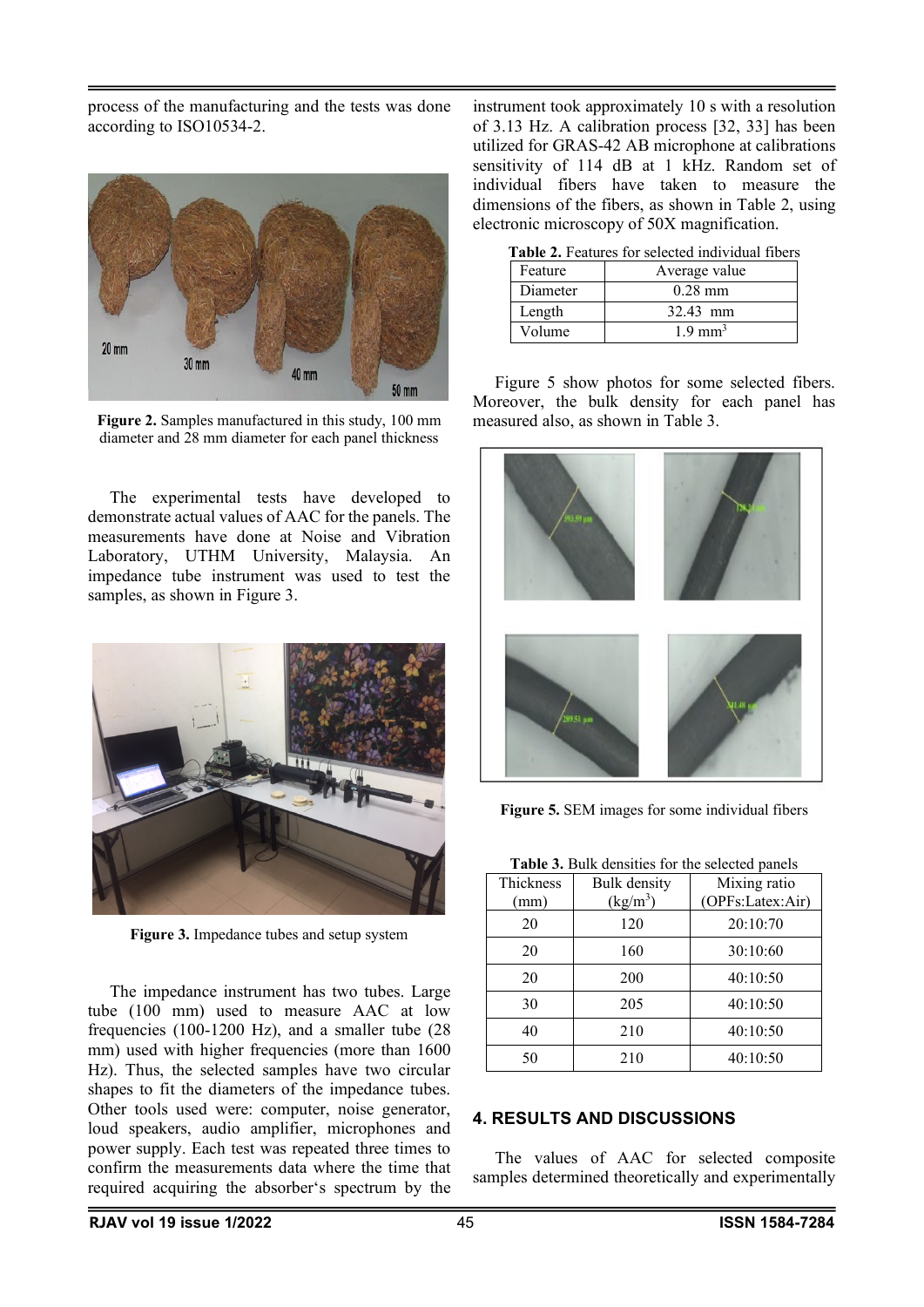process of the manufacturing and the tests was done according to ISO10534-2.



**Figure 2.** Samples manufactured in this study, 100 mm diameter and 28 mm diameter for each panel thickness

The experimental tests have developed to demonstrate actual values of AAC for the panels. The measurements have done at Noise and Vibration Laboratory, UTHM University, Malaysia. An impedance tube instrument was used to test the samples, as shown in Figure 3.



**Figure 3.** Impedance tubes and setup system

The impedance instrument has two tubes. Large tube (100 mm) used to measure AAC at low frequencies (100-1200 Hz), and a smaller tube (28 mm) used with higher frequencies (more than 1600 Hz). Thus, the selected samples have two circular shapes to fit the diameters of the impedance tubes. Other tools used were: computer, noise generator, loud speakers, audio amplifier, microphones and power supply. Each test was repeated three times to confirm the measurements data where the time that required acquiring the absorber's spectrum by the instrument took approximately 10 s with a resolution of 3.13 Hz. A calibration process [32, 33] has been utilized for GRAS-42 AB microphone at calibrations sensitivity of 114 dB at 1 kHz. Random set of individual fibers have taken to measure the dimensions of the fibers, as shown in Table 2, using electronic microscopy of 50X magnification.

| Table 2. Features for selected individual fibers |  |
|--------------------------------------------------|--|
|--------------------------------------------------|--|

| Feature  | Average value      |  |
|----------|--------------------|--|
| Diameter | $0.28$ mm          |  |
| Length   | 32.43 mm           |  |
| Volume   | $1.9 \text{ mm}^3$ |  |

Figure 5 show photos for some selected fibers. Moreover, the bulk density for each panel has measured also, as shown in Table 3.



**Figure 5.** SEM images for some individual fibers

**Table 3.** Bulk densities for the selected panels

| <b>I aprove the measures</b> for the screeged patients |              |                  |  |  |
|--------------------------------------------------------|--------------|------------------|--|--|
| Thickness                                              | Bulk density | Mixing ratio     |  |  |
| (mm)                                                   | $(kg/m^3)$   | (OPFs:Latex:Air) |  |  |
| 20                                                     | 120          | 20:10:70         |  |  |
| 20                                                     | 160          | 30:10:60         |  |  |

20 1 200 1 40:10:50 30 205 40:10:50

| 40 | 210 | 40:10:50 |
|----|-----|----------|
| 50 | 210 | 40:10:50 |
|    |     |          |
|    |     |          |

## **4. RESULTS AND DISCUSSIONS**

The values of AAC for selected composite samples determined theoretically and experimentally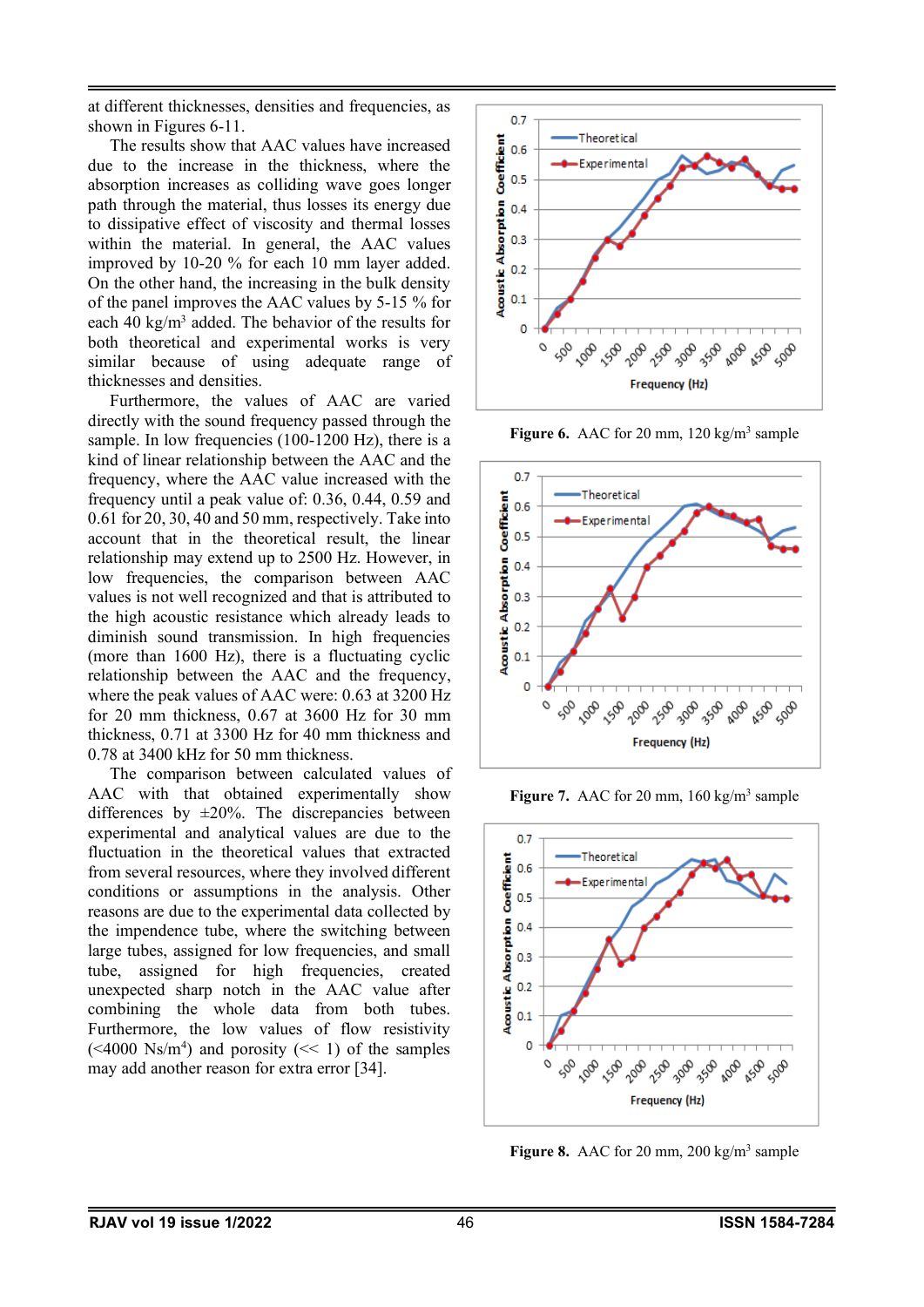at different thicknesses, densities and frequencies, as shown in Figures 6-11.

The results show that AAC values have increased due to the increase in the thickness, where the absorption increases as colliding wave goes longer path through the material, thus losses its energy due to dissipative effect of viscosity and thermal losses within the material. In general, the AAC values improved by 10-20 % for each 10 mm layer added. On the other hand, the increasing in the bulk density of the panel improves the AAC values by 5-15 % for each 40 kg/m<sup>3</sup> added. The behavior of the results for both theoretical and experimental works is very similar because of using adequate range of thicknesses and densities.

Furthermore, the values of AAC are varied directly with the sound frequency passed through the sample. In low frequencies (100-1200 Hz), there is a kind of linear relationship between the AAC and the frequency, where the AAC value increased with the frequency until a peak value of: 0.36, 0.44, 0.59 and 0.61 for 20, 30, 40 and 50 mm, respectively. Take into account that in the theoretical result, the linear relationship may extend up to 2500 Hz. However, in low frequencies, the comparison between AAC values is not well recognized and that is attributed to the high acoustic resistance which already leads to diminish sound transmission. In high frequencies (more than 1600 Hz), there is a fluctuating cyclic relationship between the AAC and the frequency, where the peak values of AAC were: 0.63 at 3200 Hz for 20 mm thickness, 0.67 at 3600 Hz for 30 mm thickness, 0.71 at 3300 Hz for 40 mm thickness and 0.78 at 3400 kHz for 50 mm thickness.

The comparison between calculated values of AAC with that obtained experimentally show differences by  $\pm 20\%$ . The discrepancies between experimental and analytical values are due to the fluctuation in the theoretical values that extracted from several resources, where they involved different conditions or assumptions in the analysis. Other reasons are due to the experimental data collected by the impendence tube, where the switching between large tubes, assigned for low frequencies, and small tube, assigned for high frequencies, created unexpected sharp notch in the AAC value after combining the whole data from both tubes. Furthermore, the low values of flow resistivity  $( $4000 \text{ Ns/m}^4$ ) and porosity ( $< 1$ ) of the samples$ may add another reason for extra error [34].



**Figure 6.** AAC for 20 mm, 120 kg/m<sup>3</sup> sample



**Figure 7.** AAC for 20 mm,  $160 \text{ kg/m}^3$  sample



Figure 8. AAC for 20 mm, 200 kg/m<sup>3</sup> sample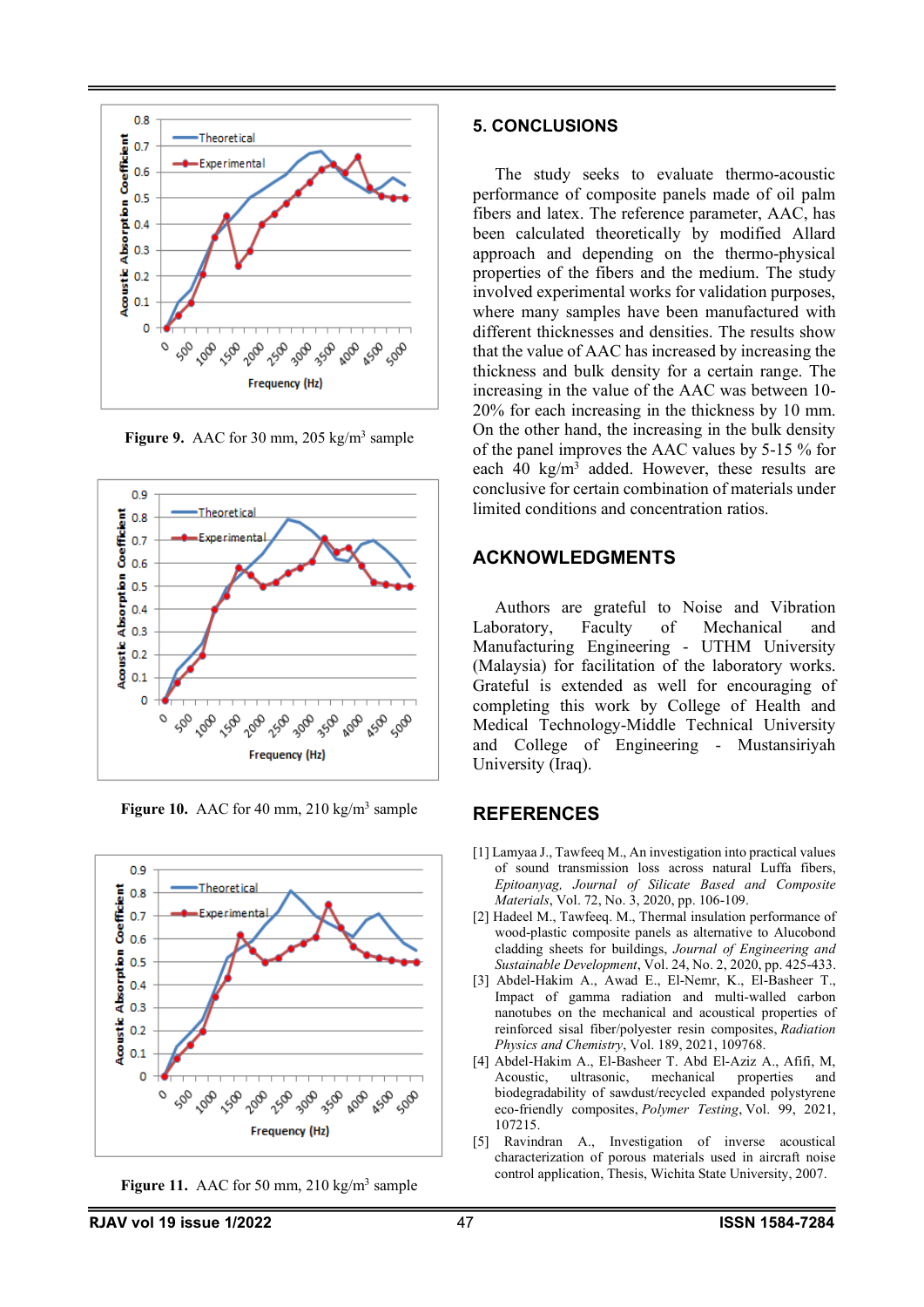

**Figure 9.** AAC for 30 mm, 205 kg/m<sup>3</sup> sample





**Figure 10.** AAC for 40 mm,  $210 \text{ kg/m}^3$  sample

Figure 11. AAC for 50 mm, 210 kg/m<sup>3</sup> sample

#### **5. CONCLUSIONS**

The study seeks to evaluate thermo-acoustic performance of composite panels made of oil palm fibers and latex. The reference parameter, AAC, has been calculated theoretically by modified Allard approach and depending on the thermo-physical properties of the fibers and the medium. The study involved experimental works for validation purposes, where many samples have been manufactured with different thicknesses and densities. The results show that the value of AAC has increased by increasing the thickness and bulk density for a certain range. The increasing in the value of the AAC was between 10- 20% for each increasing in the thickness by 10 mm. On the other hand, the increasing in the bulk density of the panel improves the AAC values by 5-15 % for each  $40 \text{ kg/m}^3$  added. However, these results are conclusive for certain combination of materials under limited conditions and concentration ratios.

## **ACKNOWLEDGMENTS**

Authors are grateful to Noise and Vibration Laboratory, Faculty of Mechanical and Manufacturing Engineering - UTHM University (Malaysia) for facilitation of the laboratory works. Grateful is extended as well for encouraging of completing this work by College of Health and Medical Technology-Middle Technical University and College of Engineering - Mustansiriyah University (Iraq).

### **REFERENCES**

- [1] Lamyaa J., Tawfeeq M., An investigation into practical values of sound transmission loss across natural Luffa fibers, *Epitoanyag, Journal of Silicate Based and Composite Materials*, Vol. 72, No. 3, 2020, pp. 106-109.
- [2] Hadeel M., Tawfeeq. M., Thermal insulation performance of wood-plastic composite panels as alternative to Alucobond cladding sheets for buildings, *Journal of Engineering and Sustainable Development*, Vol. 24, No. 2, 2020, pp. 425-433.
- [3] Abdel-Hakim A., Awad E., El-Nemr, K., El-Basheer T., Impact of gamma radiation and multi-walled carbon nanotubes on the mechanical and acoustical properties of reinforced sisal fiber/polyester resin composites, *Radiation Physics and Chemistry*, Vol. 189, 2021, 109768.
- [4] Abdel-Hakim A., El-Basheer T. Abd El-Aziz A., Afifi, M, Acoustic, ultrasonic, mechanical biodegradability of sawdust/recycled expanded polystyrene eco-friendly composites, *Polymer Testing*, Vol. 99, 2021, 107215.
- [5] Ravindran A., Investigation of inverse acoustical characterization of porous materials used in aircraft noise control application, Thesis, Wichita State University, 2007.